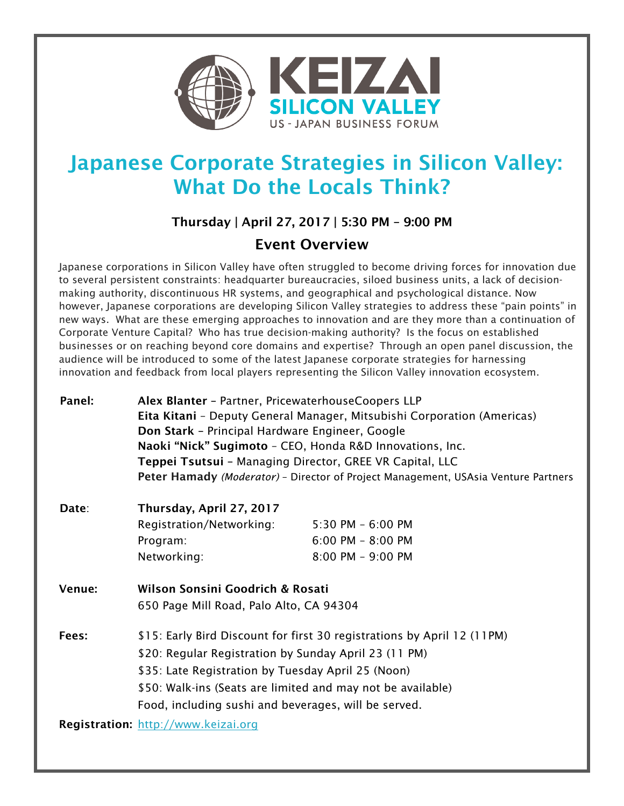

## Japanese Corporate Strategies in Silicon Valley: What Do the Locals Think?

## Thursday | April 27, 2017 | 5:30 PM – 9:00 PM

## Event Overview

Japanese corporations in Silicon Valley have often struggled to become driving forces for innovation due to several persistent constraints: headquarter bureaucracies, siloed business units, a lack of decisionmaking authority, discontinuous HR systems, and geographical and psychological distance. Now however, Japanese corporations are developing Silicon Valley strategies to address these "pain points" in new ways. What are these emerging approaches to innovation and are they more than a continuation of Corporate Venture Capital? Who has true decision-making authority? Is the focus on established businesses or on reaching beyond core domains and expertise? Through an open panel discussion, the audience will be introduced to some of the latest Japanese corporate strategies for harnessing innovation and feedback from local players representing the Silicon Valley innovation ecosystem.

| Panel:                              | Alex Blanter - Partner, PricewaterhouseCoopers LLP                                                                                                                        |                       |
|-------------------------------------|---------------------------------------------------------------------------------------------------------------------------------------------------------------------------|-----------------------|
|                                     | Eita Kitani - Deputy General Manager, Mitsubishi Corporation (Americas)                                                                                                   |                       |
|                                     | Don Stark - Principal Hardware Engineer, Google                                                                                                                           |                       |
|                                     | Naoki "Nick" Sugimoto - CEO, Honda R&D Innovations, Inc.                                                                                                                  |                       |
|                                     | Teppei Tsutsui - Managing Director, GREE VR Capital, LLC                                                                                                                  |                       |
|                                     | Peter Hamady (Moderator) - Director of Project Management, USAsia Venture Partners                                                                                        |                       |
| Date:                               | Thursday, April 27, 2017                                                                                                                                                  |                       |
|                                     | Registration/Networking:                                                                                                                                                  | $5:30$ PM $-6:00$ PM  |
|                                     | Program:                                                                                                                                                                  | $6:00$ PM $- 8:00$ PM |
|                                     | Networking:                                                                                                                                                               | 8:00 PM - 9:00 PM     |
| Venue:                              | Wilson Sonsini Goodrich & Rosati                                                                                                                                          |                       |
|                                     | 650 Page Mill Road, Palo Alto, CA 94304                                                                                                                                   |                       |
| Fees:                               | \$15: Early Bird Discount for first 30 registrations by April 12 (11PM)                                                                                                   |                       |
|                                     | \$20: Regular Registration by Sunday April 23 (11 PM)                                                                                                                     |                       |
|                                     | \$35: Late Registration by Tuesday April 25 (Noon)<br>\$50: Walk-ins (Seats are limited and may not be available)<br>Food, including sushi and beverages, will be served. |                       |
|                                     |                                                                                                                                                                           |                       |
|                                     |                                                                                                                                                                           |                       |
| Registration: http://www.keizai.org |                                                                                                                                                                           |                       |